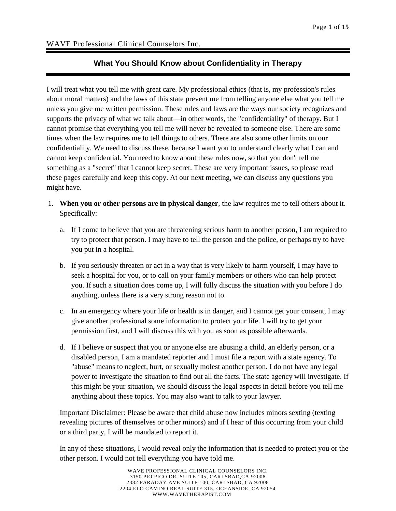# **What You Should Know about Confidentiality in Therapy**

I will treat what you tell me with great care. My professional ethics (that is, my profession's rules about moral matters) and the laws of this state prevent me from telling anyone else what you tell me unless you give me written permission. These rules and laws are the ways our society recognizes and supports the privacy of what we talk about—in other words, the "confidentiality" of therapy. But I cannot promise that everything you tell me will never be revealed to someone else. There are some times when the law requires me to tell things to others. There are also some other limits on our confidentiality. We need to discuss these, because I want you to understand clearly what I can and cannot keep confidential. You need to know about these rules now, so that you don't tell me something as a "secret" that I cannot keep secret. These are very important issues, so please read these pages carefully and keep this copy. At our next meeting, we can discuss any questions you might have.

- 1. **When you or other persons are in physical danger**, the law requires me to tell others about it. Specifically:
	- a. If I come to believe that you are threatening serious harm to another person, I am required to try to protect that person. I may have to tell the person and the police, or perhaps try to have you put in a hospital.
	- b. If you seriously threaten or act in a way that is very likely to harm yourself, I may have to seek a hospital for you, or to call on your family members or others who can help protect you. If such a situation does come up, I will fully discuss the situation with you before I do anything, unless there is a very strong reason not to.
	- c. In an emergency where your life or health is in danger, and I cannot get your consent, I may give another professional some information to protect your life. I will try to get your permission first, and I will discuss this with you as soon as possible afterwards.
	- d. If I believe or suspect that you or anyone else are abusing a child, an elderly person, or a disabled person, I am a mandated reporter and I must file a report with a state agency. To "abuse" means to neglect, hurt, or sexually molest another person. I do not have any legal power to investigate the situation to find out all the facts. The state agency will investigate. If this might be your situation, we should discuss the legal aspects in detail before you tell me anything about these topics. You may also want to talk to your lawyer.

Important Disclaimer: Please be aware that child abuse now includes minors sexting (texting revealing pictures of themselves or other minors) and if I hear of this occurring from your child or a third party, I will be mandated to report it.

In any of these situations, I would reveal only the information that is needed to protect you or the other person. I would not tell everything you have told me.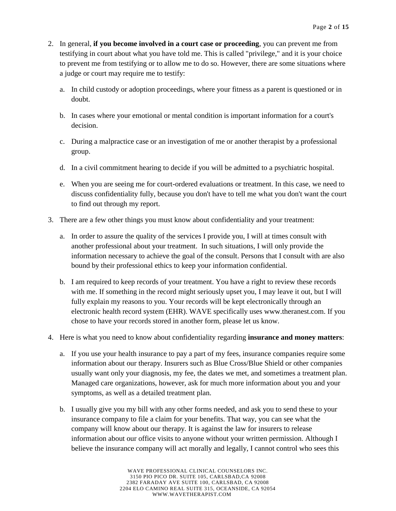- 2. In general, **if you become involved in a court case or proceeding**, you can prevent me from testifying in court about what you have told me. This is called "privilege," and it is your choice to prevent me from testifying or to allow me to do so. However, there are some situations where a judge or court may require me to testify:
	- a. In child custody or adoption proceedings, where your fitness as a parent is questioned or in doubt.
	- b. In cases where your emotional or mental condition is important information for a court's decision.
	- c. During a malpractice case or an investigation of me or another therapist by a professional group.
	- d. In a civil commitment hearing to decide if you will be admitted to a psychiatric hospital.
	- e. When you are seeing me for court-ordered evaluations or treatment. In this case, we need to discuss confidentiality fully, because you don't have to tell me what you don't want the court to find out through my report.
- 3. There are a few other things you must know about confidentiality and your treatment:
	- a. In order to assure the quality of the services I provide you, I will at times consult with another professional about your treatment. In such situations, I will only provide the information necessary to achieve the goal of the consult. Persons that I consult with are also bound by their professional ethics to keep your information confidential.
	- b. I am required to keep records of your treatment. You have a right to review these records with me. If something in the record might seriously upset you, I may leave it out, but I will fully explain my reasons to you. Your records will be kept electronically through an electronic health record system (EHR). WAVE specifically uses www.theranest.com. If you chose to have your records stored in another form, please let us know.
- 4. Here is what you need to know about confidentiality regarding **insurance and money matters**:
	- a. If you use your health insurance to pay a part of my fees, insurance companies require some information about our therapy. Insurers such as Blue Cross/Blue Shield or other companies usually want only your diagnosis, my fee, the dates we met, and sometimes a treatment plan. Managed care organizations, however, ask for much more information about you and your symptoms, as well as a detailed treatment plan.
	- b. I usually give you my bill with any other forms needed, and ask you to send these to your insurance company to file a claim for your benefits. That way, you can see what the company will know about our therapy. It is against the law for insurers to release information about our office visits to anyone without your written permission. Although I believe the insurance company will act morally and legally, I cannot control who sees this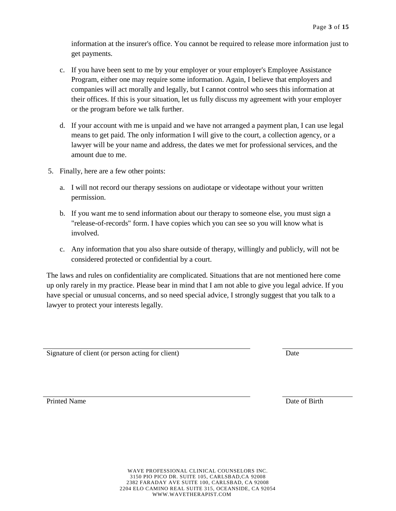information at the insurer's office. You cannot be required to release more information just to get payments.

- c. If you have been sent to me by your employer or your employer's Employee Assistance Program, either one may require some information. Again, I believe that employers and companies will act morally and legally, but I cannot control who sees this information at their offices. If this is your situation, let us fully discuss my agreement with your employer or the program before we talk further.
- d. If your account with me is unpaid and we have not arranged a payment plan, I can use legal means to get paid. The only information I will give to the court, a collection agency, or a lawyer will be your name and address, the dates we met for professional services, and the amount due to me.
- 5. Finally, here are a few other points:
	- a. I will not record our therapy sessions on audiotape or videotape without your written permission.
	- b. If you want me to send information about our therapy to someone else, you must sign a "release-of-records" form. I have copies which you can see so you will know what is involved.
	- c. Any information that you also share outside of therapy, willingly and publicly, will not be considered protected or confidential by a court.

The laws and rules on confidentiality are complicated. Situations that are not mentioned here come up only rarely in my practice. Please bear in mind that I am not able to give you legal advice. If you have special or unusual concerns, and so need special advice, I strongly suggest that you talk to a lawyer to protect your interests legally.

Signature of client (or person acting for client) Date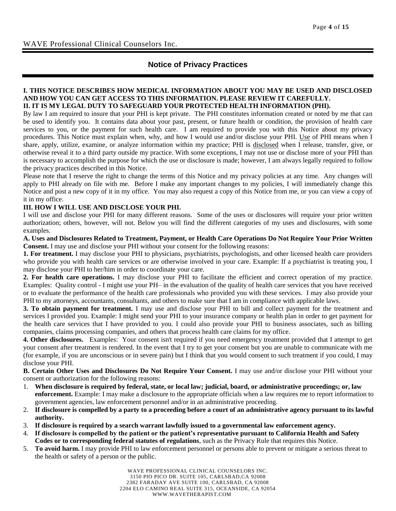# **Notice of Privacy Practices**

#### **I. THIS NOTICE DESCRIBES HOW MEDICAL INFORMATION ABOUT YOU MAY BE USED AND DISCLOSED AND HOW YOU CAN GET ACCESS TO THIS INFORMATION. PLEASE REVIEW IT CAREFULLY. II. IT IS MY LEGAL DUTY TO SAFEGUARD YOUR PROTECTED HEALTH INFORMATION (PHI).**

By law I am required to insure that your PHI is kept private. The PHI constitutes information created or noted by me that can be used to identify you. It contains data about your past, present, or future health or condition, the provision of health care services to you, or the payment for such health care. I am required to provide you with this Notice about my privacy procedures. This Notice must explain when, why, and how I would use and/or disclose your PHI. Use of PHI means when I share, apply, utilize, examine, or analyze information within my practice; PHI is disclosed when I release, transfer, give, or otherwise reveal it to a third party outside my practice. With some exceptions, I may not use or disclose more of your PHI than is necessary to accomplish the purpose for which the use or disclosure is made; however, I am always legally required to follow the privacy practices described in this Notice.

Please note that I reserve the right to change the terms of this Notice and my privacy policies at any time. Any changes will apply to PHI already on file with me. Before I make any important changes to my policies, I will immediately change this Notice and post a new copy of it in my office. You may also request a copy of this Notice from me, or you can view a copy of it in my office.

## **III. HOW I WILL USE AND DISCLOSE YOUR PHI.**

I will use and disclose your PHI for many different reasons. Some of the uses or disclosures will require your prior written authorization; others, however, will not. Below you will find the different categories of my uses and disclosures, with some examples.

**A. Uses and Disclosures Related to Treatment, Payment, or Health Care Operations Do Not Require Your Prior Written Consent.** I may use and disclose your PHI without your consent for the following reasons:

**1. For treatment.** I may disclose your PHI to physicians, psychiatrists, psychologists, and other licensed health care providers who provide you with health care services or are otherwise involved in your care. Example: If a psychiatrist is treating you, I may disclose your PHI to her/him in order to coordinate your care.

**2. For health care operations.** I may disclose your PHI to facilitate the efficient and correct operation of my practice. Examples: Quality control - I might use your PH– in the evaluation of the quality of health care services that you have received or to evaluate the performance of the health care professionals who provided you with these services. I may also provide your PHI to my attorneys, accountants, consultants, and others to make sure that I am in compliance with applicable laws.

**3. To obtain payment for treatment.** I may use and disclose your PHI to bill and collect payment for the treatment and services I provided you. Example: I might send your PHI to your insurance company or health plan in order to get payment for the health care services that I have provided to you. I could also provide your PHI to business associates, such as billing companies, claims processing companies, and others that process health care claims for my office.

**4. Other disclosures.** Examples:Your consent isn't required if you need emergency treatment provided that I attempt to get your consent after treatment is rendered. In the event that I try to get your consent but you are unable to communicate with me (for example, if you are unconscious or in severe pain) but I think that you would consent to such treatment if you could, I may disclose your PHI.

**B. Certain Other Uses and Disclosures Do Not Require Your Consent.** I may use and/or disclose your PHI without your consent or authorization for the following reasons:

- 1. **When disclosure is required by federal, state, or local law; judicial, board, or administrative proceedings; or, law enforcement.** Example: I may make a disclosure to the appropriate officials when a law requires me to report information to government agencies, law enforcement personnel and/or in an administrative proceeding.
- 2. **If disclosure is compelled by a party to a proceeding before a court of an administrative agency pursuant to its lawful authority.**
- 3. **If disclosure is required by a search warrant lawfully issued to a governmental law enforcement agency.**
- 4. **If disclosure is compelled by the patient or the patient's representative pursuant to California Health and Safety Codes or to corresponding federal statutes of regulations**, such as the Privacy Rule that requires this Notice.
- 5. **To avoid harm.** I may provide PHI to law enforcement personnel or persons able to prevent or mitigate a serious threat to the health or safety of a person or the public.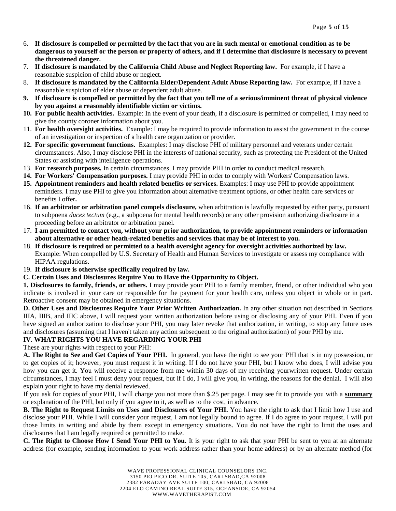- 6. **If disclosure is compelled or permitted by the fact that you are in such mental or emotional condition as to be dangerous to yourself or the person or property of others, and if I determine that disclosure is necessary to prevent the threatened danger.**
- 7. **If disclosure is mandated by the California Child Abuse and Neglect Reporting law.** For example, if I have a reasonable suspicion of child abuse or neglect.
- 8. **If disclosure is mandated by the California Elder/Dependent Adult Abuse Reporting law.** For example, if I have a reasonable suspicion of elder abuse or dependent adult abuse.
- **9. If disclosure is compelled or permitted by the fact that you tell me of a serious/imminent threat of physical violence by you against a reasonably identifiable victim or victims.**
- **10. For public health activities.** Example: In the event of your death, if a disclosure is permitted or compelled, I may need to give the county coroner information about you.
- 11. **For health oversight activities.** Example: I may be required to provide information to assist the government in the course of an investigation or inspection of a health care organization or provider.
- **12. For specific government functions.** Examples: I may disclose PHI of military personnel and veterans under certain circumstances. Also, I may disclose PHI in the interests of national security, such as protecting the President of the United States or assisting with intelligence operations.
- 13. **For research purposes.** In certain circumstances, I may provide PHI in order to conduct medical research.
- **14. For Workers' Compensation purposes.** I may provide PHI in order to comply with Workers' Compensation laws.
- **15. Appointment reminders and health related benefits or services.** Examples: I may use PHI to provide appointment reminders. I may use PHI to give you information about alternative treatment options, or other health care services or benefits I offer**.**
- 16. **If an arbitrator or arbitration panel compels disclosure,** when arbitration is lawfully requested by either party, pursuant to subpoena *duces tectum* (e.g., a subpoena for mental health records) or any other provision authorizing disclosure in a proceeding before an arbitrator or arbitration panel.
- 17. **I am permitted to contact you, without your prior authorization, to provide appointment reminders or information about alternative or other heath-related benefits and services that may be of interest to you.**
- 18. **If disclosure is required or permitted to a health oversight agency for oversight activities authorized by law.**  Example: When compelled by U.S. Secretary of Health and Human Services to investigate or assess my compliance with HIPAA regulations.
- 19. **If disclosure is otherwise specifically required by law.**
- **C. Certain Uses and Disclosures Require You to Have the Opportunity to Object.**

**1. Disclosures to family, friends, or others.** I may provide your PHI to a family member, friend, or other individual who you indicate is involved in your care or responsible for the payment for your health care, unless you object in whole or in part. Retroactive consent may be obtained in emergency situations.

**D. Other Uses and Disclosures Require Your Prior Written Authorization.** In any other situation not described in Sections IIIA, IIIB, and IIIC above, I will request your written authorization before using or disclosing any of your PHI. Even if you have signed an authorization to disclose your PHI, you may later revoke that authorization, in writing, to stop any future uses and disclosures (assuming that I haven't taken any action subsequent to the original authorization) of your PHI by me.

# **IV. WHAT RIGHTS YOU HAVE REGARDING YOUR PHI**

These are your rights with respect to your PHI:

**A. The Right to See and Get Copies of Your PHI.** In general, you have the right to see your PHI that is in my possession, or to get copies of it; however, you must request it in writing. If I do not have your PHI, but I know who does, I will advise you how you can get it. You will receive a response from me within 30 days of my receiving yourwritten request. Under certain circumstances, I may feel I must deny your request, but if I do, I will give you, in writing, the reasons for the denial. I will also explain your right to have my denial reviewed.

If you ask for copies of your PHI, I will charge you not more than \$.25 per page. I may see fit to provide you with a **summary**  or explanation of the PHI, but only if you agree to it, as well as to the cost, in advance.

**B. The Right to Request Limits on Uses and Disclosures of Your PHI.** You have the right to ask that I limit how I use and disclose your PHI. While I will consider your request, I am not legally bound to agree. If I do agree to your request, I will put those limits in writing and abide by them except in emergency situations. You do not have the right to limit the uses and disclosures that I am legally required or permitted to make.

**C. The Right to Choose How I Send Your PHI to You.** It is your right to ask that your PHI be sent to you at an alternate address (for example, sending information to your work address rather than your home address) or by an alternate method (for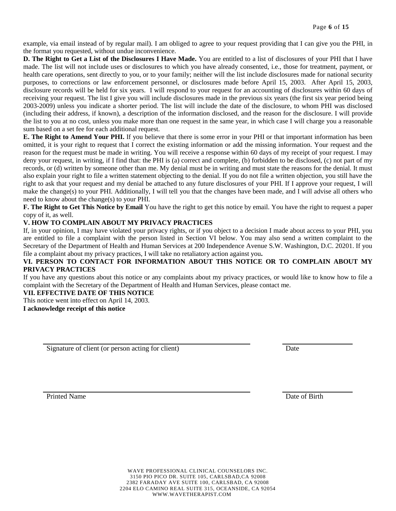example, via email instead of by regular mail). I am obliged to agree to your request providing that I can give you the PHI, in the format you requested, without undue inconvenience.

**D. The Right to Get a List of the Disclosures I Have Made.** You are entitled to a list of disclosures of your PHI that I have made. The list will not include uses or disclosures to which you have already consented, i.e., those for treatment, payment, or health care operations, sent directly to you, or to your family; neither will the list include disclosures made for national security purposes, to corrections or law enforcement personnel, or disclosures made before April 15, 2003. After April 15, 2003, disclosure records will be held for six years. I will respond to your request for an accounting of disclosures within 60 days of receiving your request. The list I give you will include disclosures made in the previous six years (the first six year period being 2003-2009) unless you indicate a shorter period. The list will include the date of the disclosure, to whom PHI was disclosed (including their address, if known), a description of the information disclosed, and the reason for the disclosure. I will provide the list to you at no cost, unless you make more than one request in the same year, in which case I will charge you a reasonable sum based on a set fee for each additional request.

**E. The Right to Amend Your PHI.** If you believe that there is some error in your PHI or that important information has been omitted, it is your right to request that I correct the existing information or add the missing information. Your request and the reason for the request must be made in writing. You will receive a response within 60 days of my receipt of your request. I may deny your request, in writing, if I find that: the PHI is (a) correct and complete, (b) forbidden to be disclosed, (c) not part of my records, or (d) written by someone other than me. My denial must be in writing and must state the reasons for the denial. It must also explain your right to file a written statement objecting to the denial. If you do not file a written objection, you still have the right to ask that your request and my denial be attached to any future disclosures of your PHI. If I approve your request, I will make the change(s) to your PHI. Additionally, I will tell you that the changes have been made, and I will advise all others who need to know about the change(s) to your PHI.

**F. The Right to Get This Notice by Email** You have the right to get this notice by email. You have the right to request a paper copy of it, as well.

### **V. HOW TO COMPLAIN ABOUT MY PRIVACY PRACTICES**

If, in your opinion, I may have violated your privacy rights, or if you object to a decision I made about access to your PHI, you are entitled to file a complaint with the person listed in Section VI below. You may also send a written complaint to the Secretary of the Department of Health and Human Services at 200 Independence Avenue S.W. Washington, D.C. 20201. If you file a complaint about my privacy practices, I will take no retaliatory action against you**.**

### **VI. PERSON TO CONTACT FOR INFORMATION ABOUT THIS NOTICE OR TO COMPLAIN ABOUT MY PRIVACY PRACTICES**

If you have any questions about this notice or any complaints about my privacy practices, or would like to know how to file a complaint with the Secretary of the Department of Health and Human Services, please contact me.

#### **VII. EFFECTIVE DATE OF THIS NOTICE**

This notice went into effect on April 14, 2003.

**I acknowledge receipt of this notice**

Signature of client (or person acting for client) Date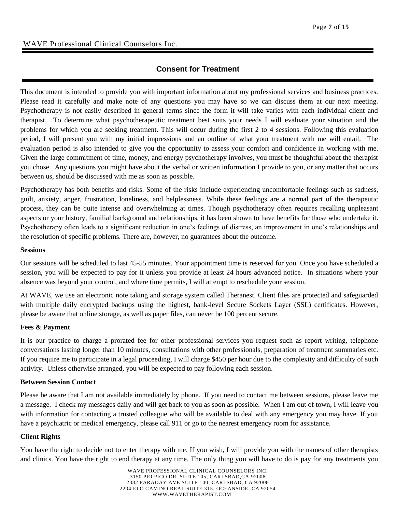# **Consent for Treatment**

This document is intended to provide you with important information about my professional services and business practices. Please read it carefully and make note of any questions you may have so we can discuss them at our next meeting. Psychotherapy is not easily described in general terms since the form it will take varies with each individual client and therapist. To determine what psychotherapeutic treatment best suits your needs I will evaluate your situation and the problems for which you are seeking treatment. This will occur during the first 2 to 4 sessions. Following this evaluation period, I will present you with my initial impressions and an outline of what your treatment with me will entail. The evaluation period is also intended to give you the opportunity to assess your comfort and confidence in working with me. Given the large commitment of time, money, and energy psychotherapy involves, you must be thoughtful about the therapist you chose. Any questions you might have about the verbal or written information I provide to you, or any matter that occurs between us, should be discussed with me as soon as possible.

Psychotherapy has both benefits and risks. Some of the risks include experiencing uncomfortable feelings such as sadness, guilt, anxiety, anger, frustration, loneliness, and helplessness. While these feelings are a normal part of the therapeutic process, they can be quite intense and overwhelming at times. Though psychotherapy often requires recalling unpleasant aspects or your history, familial background and relationships, it has been shown to have benefits for those who undertake it. Psychotherapy often leads to a significant reduction in one's feelings of distress, an improvement in one's relationships and the resolution of specific problems. There are, however, no guarantees about the outcome.

# **Sessions**

Our sessions will be scheduled to last 45-55 minutes. Your appointment time is reserved for you. Once you have scheduled a session, you will be expected to pay for it unless you provide at least 24 hours advanced notice. In situations where your absence was beyond your control, and where time permits, I will attempt to reschedule your session.

At WAVE, we use an electronic note taking and storage system called Theranest. Client files are protected and safeguarded with multiple daily encrypted backups using the highest, bank-level Secure Sockets Layer (SSL) certificates. However, please be aware that online storage, as well as paper files, can never be 100 percent secure.

# **Fees & Payment**

It is our practice to charge a prorated fee for other professional services you request such as report writing, telephone conversations lasting longer than 10 minutes, consultations with other professionals, preparation of treatment summaries etc. If you require me to participate in a legal proceeding, I will charge \$450 per hour due to the complexity and difficulty of such activity. Unless otherwise arranged, you will be expected to pay following each session.

# **Between Session Contact**

Please be aware that I am not available immediately by phone. If you need to contact me between sessions, please leave me a message. I check my messages daily and will get back to you as soon as possible. When I am out of town, I will leave you with information for contacting a trusted colleague who will be available to deal with any emergency you may have. If you have a psychiatric or medical emergency, please call 911 or go to the nearest emergency room for assistance.

# **Client Rights**

You have the right to decide not to enter therapy with me. If you wish, I will provide you with the names of other therapists and clinics. You have the right to end therapy at any time. The only thing you will have to do is pay for any treatments you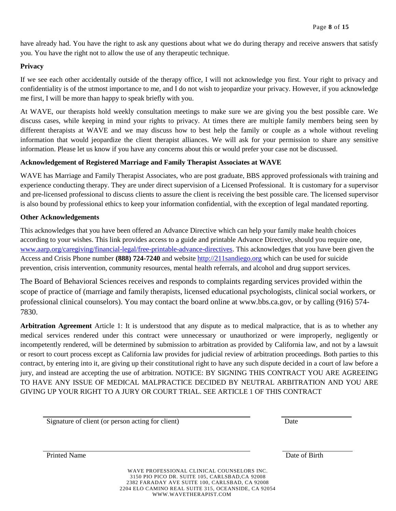have already had. You have the right to ask any questions about what we do during therapy and receive answers that satisfy you. You have the right not to allow the use of any therapeutic technique.

# **Privacy**

If we see each other accidentally outside of the therapy office, I will not acknowledge you first. Your right to privacy and confidentiality is of the utmost importance to me, and I do not wish to jeopardize your privacy. However, if you acknowledge me first, I will be more than happy to speak briefly with you.

At WAVE, our therapists hold weekly consultation meetings to make sure we are giving you the best possible care. We discuss cases, while keeping in mind your rights to privacy. At times there are multiple family members being seen by different therapists at WAVE and we may discuss how to best help the family or couple as a whole without reveling information that would jeopardize the client therapist alliances. We will ask for your permission to share any sensitive information. Please let us know if you have any concerns about this or would prefer your case not be discussed.

# **Acknowledgement of Registered Marriage and Family Therapist Associates at WAVE**

WAVE has Marriage and Family Therapist Associates, who are post graduate, BBS approved professionals with training and experience conducting therapy. They are under direct supervision of a Licensed Professional. It is customary for a supervisor and pre-licensed professional to discuss clients to assure the client is receiving the best possible care. The licensed supervisor is also bound by professional ethics to keep your information confidential, with the exception of legal mandated reporting.

# **Other Acknowledgements**

This acknowledges that you have been offered an Advance Directive which can help your family make health choices according to your wishes. This link provides access to a guide and printable Advance Directive, should you require one, [www.aarp.org/caregiving/financial-legal/free-printable-advance-directives.](http://www.aarp.org/caregiving/financial-legal/free-printable-advance-directives) This acknowledges that you have been given the Access and Crisis Phone number **(888) 724-7240** and website [http://211sandiego.org](http://211sandiego.org/) which can be used for suicide prevention, crisis intervention, community resources, mental health referrals, and alcohol and drug support services.

The Board of Behavioral Sciences receives and responds to complaints regarding services provided within the scope of practice of (marriage and family therapists, licensed educational psychologists, clinical social workers, or professional clinical counselors). You may contact the board online at www.bbs.ca.gov, or by calling (916) 574- 7830.

**Arbitration Agreement** Article 1: It is understood that any dispute as to medical malpractice, that is as to whether any medical services rendered under this contract were unnecessary or unauthorized or were improperly, negligently or incompetently rendered, will be determined by submission to arbitration as provided by California law, and not by a lawsuit or resort to court process except as California law provides for judicial review of arbitration proceedings. Both parties to this contract, by entering into it, are giving up their constitutional right to have any such dispute decided in a court of law before a jury, and instead are accepting the use of arbitration. NOTICE: BY SIGNING THIS CONTRACT YOU ARE AGREEING TO HAVE ANY ISSUE OF MEDICAL MALPRACTICE DECIDED BY NEUTRAL ARBITRATION AND YOU ARE GIVING UP YOUR RIGHT TO A JURY OR COURT TRIAL. SEE ARTICLE 1 OF THIS CONTRACT

Signature of client (or person acting for client) Date

Printed Name Date of Birth

WAVE PROFESSIONAL CLINICAL COUNSELORS INC. 3150 PIO PICO DR. SUITE 105, CARLSBAD,CA 92008 2382 FARADAY AVE SUITE 100, CARLSBAD, CA 92008 2204 ELO CAMINO REAL SUITE 315, OCEANSIDE, CA 92054 WWW.WAVETHERAPIST.COM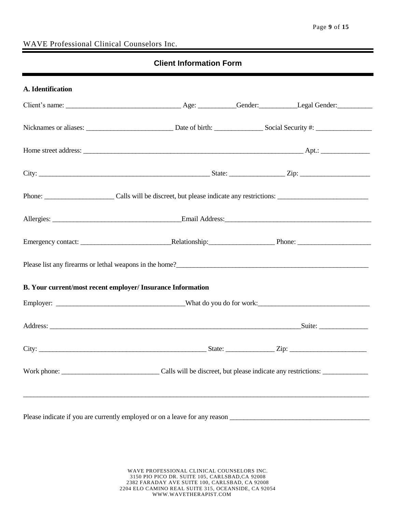# WAVE Professional Clinical Counselors Inc.

|                                                                                                                                                                                           | <b>Client Information Form</b> |  |                                             |  |  |  |
|-------------------------------------------------------------------------------------------------------------------------------------------------------------------------------------------|--------------------------------|--|---------------------------------------------|--|--|--|
| A. Identification                                                                                                                                                                         |                                |  |                                             |  |  |  |
|                                                                                                                                                                                           |                                |  |                                             |  |  |  |
|                                                                                                                                                                                           |                                |  |                                             |  |  |  |
|                                                                                                                                                                                           |                                |  |                                             |  |  |  |
|                                                                                                                                                                                           |                                |  |                                             |  |  |  |
| Phone: Calls will be discreet, but please indicate any restrictions:                                                                                                                      |                                |  |                                             |  |  |  |
|                                                                                                                                                                                           |                                |  |                                             |  |  |  |
|                                                                                                                                                                                           |                                |  |                                             |  |  |  |
| Please list any firearms or lethal weapons in the home?<br><u>Lease list any firearms</u> or lethal weapons in the home?<br><u>Lease list any firearms</u> or lethal weapons in the home? |                                |  |                                             |  |  |  |
| B. Your current/most recent employer/ Insurance Information                                                                                                                               |                                |  |                                             |  |  |  |
|                                                                                                                                                                                           |                                |  |                                             |  |  |  |
|                                                                                                                                                                                           |                                |  |                                             |  |  |  |
|                                                                                                                                                                                           |                                |  | State: $\angle$ Zip: $\angle$ Zip: $\angle$ |  |  |  |
|                                                                                                                                                                                           |                                |  |                                             |  |  |  |
|                                                                                                                                                                                           |                                |  |                                             |  |  |  |

Please indicate if you are currently employed or on a leave for any reason \_\_\_\_\_\_\_\_\_\_\_\_\_\_\_\_\_\_\_\_\_\_\_\_\_\_\_\_\_\_\_\_\_\_\_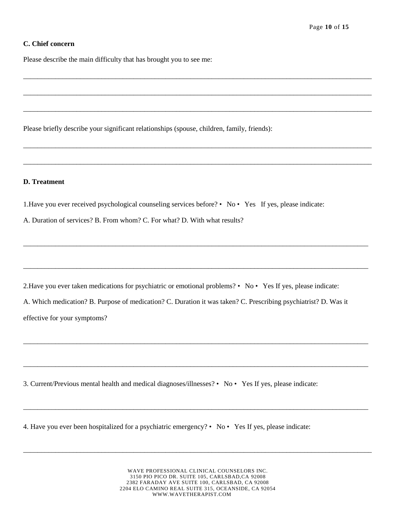## **C. Chief concern**

Please describe the main difficulty that has brought you to see me:

Please briefly describe your significant relationships (spouse, children, family, friends):

# **D. Treatment**

1.Have you ever received psychological counseling services before? • No • Yes If yes, please indicate:

\_\_\_\_\_\_\_\_\_\_\_\_\_\_\_\_\_\_\_\_\_\_\_\_\_\_\_\_\_\_\_\_\_\_\_\_\_\_\_\_\_\_\_\_\_\_\_\_\_\_\_\_\_\_\_\_\_\_\_\_\_\_\_\_\_\_\_\_\_\_\_\_\_\_\_\_\_\_\_\_\_\_\_\_\_\_\_\_\_\_\_\_\_\_\_\_\_\_

\_\_\_\_\_\_\_\_\_\_\_\_\_\_\_\_\_\_\_\_\_\_\_\_\_\_\_\_\_\_\_\_\_\_\_\_\_\_\_\_\_\_\_\_\_\_\_\_\_\_\_\_\_\_\_\_\_\_\_\_\_\_\_\_\_\_\_\_\_\_\_\_\_\_\_\_\_\_\_\_\_\_\_\_\_\_\_\_\_\_\_\_\_\_\_\_\_\_

\_\_\_\_\_\_\_\_\_\_\_\_\_\_\_\_\_\_\_\_\_\_\_\_\_\_\_\_\_\_\_\_\_\_\_\_\_\_\_\_\_\_\_\_\_\_\_\_\_\_\_\_\_\_\_\_\_\_\_\_\_\_\_\_\_\_\_\_\_\_\_\_\_\_\_\_\_\_\_\_\_\_\_\_\_\_\_\_\_\_\_\_\_\_\_\_\_\_

\_\_\_\_\_\_\_\_\_\_\_\_\_\_\_\_\_\_\_\_\_\_\_\_\_\_\_\_\_\_\_\_\_\_\_\_\_\_\_\_\_\_\_\_\_\_\_\_\_\_\_\_\_\_\_\_\_\_\_\_\_\_\_\_\_\_\_\_\_\_\_\_\_\_\_\_\_\_\_\_\_\_\_\_\_\_\_\_\_\_\_\_\_\_\_\_\_\_

\_\_\_\_\_\_\_\_\_\_\_\_\_\_\_\_\_\_\_\_\_\_\_\_\_\_\_\_\_\_\_\_\_\_\_\_\_\_\_\_\_\_\_\_\_\_\_\_\_\_\_\_\_\_\_\_\_\_\_\_\_\_\_\_\_\_\_\_\_\_\_\_\_\_\_\_\_\_\_\_\_\_\_\_\_\_\_\_\_\_\_\_\_\_\_\_\_\_

\_\_\_\_\_\_\_\_\_\_\_\_\_\_\_\_\_\_\_\_\_\_\_\_\_\_\_\_\_\_\_\_\_\_\_\_\_\_\_\_\_\_\_\_\_\_\_\_\_\_\_\_\_\_\_\_\_\_\_\_\_\_\_\_\_\_\_\_\_\_\_\_\_\_\_\_\_\_\_\_\_\_\_\_\_\_\_\_\_\_\_\_\_\_\_\_\_

\_\_\_\_\_\_\_\_\_\_\_\_\_\_\_\_\_\_\_\_\_\_\_\_\_\_\_\_\_\_\_\_\_\_\_\_\_\_\_\_\_\_\_\_\_\_\_\_\_\_\_\_\_\_\_\_\_\_\_\_\_\_\_\_\_\_\_\_\_\_\_\_\_\_\_\_\_\_\_\_\_\_\_\_\_\_\_\_\_\_\_\_\_\_\_\_\_

\_\_\_\_\_\_\_\_\_\_\_\_\_\_\_\_\_\_\_\_\_\_\_\_\_\_\_\_\_\_\_\_\_\_\_\_\_\_\_\_\_\_\_\_\_\_\_\_\_\_\_\_\_\_\_\_\_\_\_\_\_\_\_\_\_\_\_\_\_\_\_\_\_\_\_\_\_\_\_\_\_\_\_\_\_\_\_\_\_\_\_\_\_\_\_\_\_

\_\_\_\_\_\_\_\_\_\_\_\_\_\_\_\_\_\_\_\_\_\_\_\_\_\_\_\_\_\_\_\_\_\_\_\_\_\_\_\_\_\_\_\_\_\_\_\_\_\_\_\_\_\_\_\_\_\_\_\_\_\_\_\_\_\_\_\_\_\_\_\_\_\_\_\_\_\_\_\_\_\_\_\_\_\_\_\_\_\_\_\_\_\_\_\_\_

\_\_\_\_\_\_\_\_\_\_\_\_\_\_\_\_\_\_\_\_\_\_\_\_\_\_\_\_\_\_\_\_\_\_\_\_\_\_\_\_\_\_\_\_\_\_\_\_\_\_\_\_\_\_\_\_\_\_\_\_\_\_\_\_\_\_\_\_\_\_\_\_\_\_\_\_\_\_\_\_\_\_\_\_\_\_\_\_\_\_\_\_\_\_\_\_\_

A. Duration of services? B. From whom? C. For what? D. With what results?

2.Have you ever taken medications for psychiatric or emotional problems? • No • Yes If yes, please indicate: A. Which medication? B. Purpose of medication? C. Duration it was taken? C. Prescribing psychiatrist? D. Was it effective for your symptoms?

3. Current/Previous mental health and medical diagnoses/illnesses? • No • Yes If yes, please indicate:

4. Have you ever been hospitalized for a psychiatric emergency? • No • Yes If yes, please indicate:

\_\_\_\_\_\_\_\_\_\_\_\_\_\_\_\_\_\_\_\_\_\_\_\_\_\_\_\_\_\_\_\_\_\_\_\_\_\_\_\_\_\_\_\_\_\_\_\_\_\_\_\_\_\_\_\_\_\_\_\_\_\_\_\_\_\_\_\_\_\_\_\_\_\_\_\_\_\_\_\_\_\_\_\_\_\_\_\_\_\_\_\_\_\_\_\_\_\_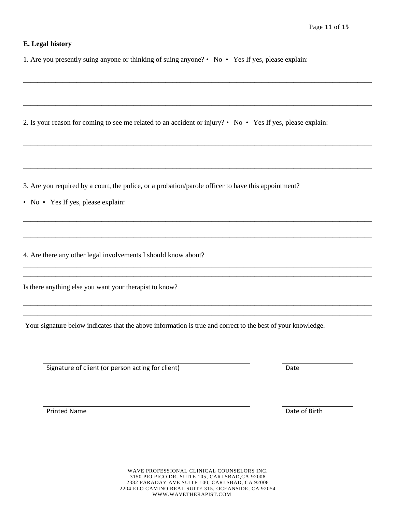## **E. Legal history**

1. Are you presently suing anyone or thinking of suing anyone? • No • Yes If yes, please explain:

2. Is your reason for coming to see me related to an accident or injury? • No • Yes If yes, please explain:

\_\_\_\_\_\_\_\_\_\_\_\_\_\_\_\_\_\_\_\_\_\_\_\_\_\_\_\_\_\_\_\_\_\_\_\_\_\_\_\_\_\_\_\_\_\_\_\_\_\_\_\_\_\_\_\_\_\_\_\_\_\_\_\_\_\_\_\_\_\_\_\_\_\_\_\_\_\_\_\_\_\_\_\_\_\_\_\_\_\_\_\_\_\_\_\_\_\_

\_\_\_\_\_\_\_\_\_\_\_\_\_\_\_\_\_\_\_\_\_\_\_\_\_\_\_\_\_\_\_\_\_\_\_\_\_\_\_\_\_\_\_\_\_\_\_\_\_\_\_\_\_\_\_\_\_\_\_\_\_\_\_\_\_\_\_\_\_\_\_\_\_\_\_\_\_\_\_\_\_\_\_\_\_\_\_\_\_\_\_\_\_\_\_\_\_\_

\_\_\_\_\_\_\_\_\_\_\_\_\_\_\_\_\_\_\_\_\_\_\_\_\_\_\_\_\_\_\_\_\_\_\_\_\_\_\_\_\_\_\_\_\_\_\_\_\_\_\_\_\_\_\_\_\_\_\_\_\_\_\_\_\_\_\_\_\_\_\_\_\_\_\_\_\_\_\_\_\_\_\_\_\_\_\_\_\_\_\_\_\_\_\_\_\_\_

\_\_\_\_\_\_\_\_\_\_\_\_\_\_\_\_\_\_\_\_\_\_\_\_\_\_\_\_\_\_\_\_\_\_\_\_\_\_\_\_\_\_\_\_\_\_\_\_\_\_\_\_\_\_\_\_\_\_\_\_\_\_\_\_\_\_\_\_\_\_\_\_\_\_\_\_\_\_\_\_\_\_\_\_\_\_\_\_\_\_\_\_\_\_\_\_\_\_

\_\_\_\_\_\_\_\_\_\_\_\_\_\_\_\_\_\_\_\_\_\_\_\_\_\_\_\_\_\_\_\_\_\_\_\_\_\_\_\_\_\_\_\_\_\_\_\_\_\_\_\_\_\_\_\_\_\_\_\_\_\_\_\_\_\_\_\_\_\_\_\_\_\_\_\_\_\_\_\_\_\_\_\_\_\_\_\_\_\_\_\_\_\_\_\_\_\_

\_\_\_\_\_\_\_\_\_\_\_\_\_\_\_\_\_\_\_\_\_\_\_\_\_\_\_\_\_\_\_\_\_\_\_\_\_\_\_\_\_\_\_\_\_\_\_\_\_\_\_\_\_\_\_\_\_\_\_\_\_\_\_\_\_\_\_\_\_\_\_\_\_\_\_\_\_\_\_\_\_\_\_\_\_\_\_\_\_\_\_\_\_\_\_\_\_\_

\_\_\_\_\_\_\_\_\_\_\_\_\_\_\_\_\_\_\_\_\_\_\_\_\_\_\_\_\_\_\_\_\_\_\_\_\_\_\_\_\_\_\_\_\_\_\_\_\_\_\_\_\_\_\_\_\_\_\_\_\_\_\_\_\_\_\_\_\_\_\_\_\_\_\_\_\_\_\_\_\_\_\_\_\_\_\_\_\_\_\_\_\_\_\_\_\_\_ \_\_\_\_\_\_\_\_\_\_\_\_\_\_\_\_\_\_\_\_\_\_\_\_\_\_\_\_\_\_\_\_\_\_\_\_\_\_\_\_\_\_\_\_\_\_\_\_\_\_\_\_\_\_\_\_\_\_\_\_\_\_\_\_\_\_\_\_\_\_\_\_\_\_\_\_\_\_\_\_\_\_\_\_\_\_\_\_\_\_\_\_\_\_\_\_\_\_

\_\_\_\_\_\_\_\_\_\_\_\_\_\_\_\_\_\_\_\_\_\_\_\_\_\_\_\_\_\_\_\_\_\_\_\_\_\_\_\_\_\_\_\_\_\_\_\_\_\_\_\_\_\_\_\_\_\_\_\_\_\_\_\_\_\_\_\_\_\_\_\_\_\_\_\_\_\_\_\_\_\_\_\_\_\_\_\_\_\_\_\_\_\_\_\_\_\_ \_\_\_\_\_\_\_\_\_\_\_\_\_\_\_\_\_\_\_\_\_\_\_\_\_\_\_\_\_\_\_\_\_\_\_\_\_\_\_\_\_\_\_\_\_\_\_\_\_\_\_\_\_\_\_\_\_\_\_\_\_\_\_\_\_\_\_\_\_\_\_\_\_\_\_\_\_\_\_\_\_\_\_\_\_\_\_\_\_\_\_\_\_\_\_\_\_\_

3. Are you required by a court, the police, or a probation/parole officer to have this appointment?

• No • Yes If yes, please explain:

4. Are there any other legal involvements I should know about?

Is there anything else you want your therapist to know?

Your signature below indicates that the above information is true and correct to the best of your knowledge.

Signature of client (or person acting for client) Date Date

Printed Name **Date of Birth Date of Birth Date of Birth**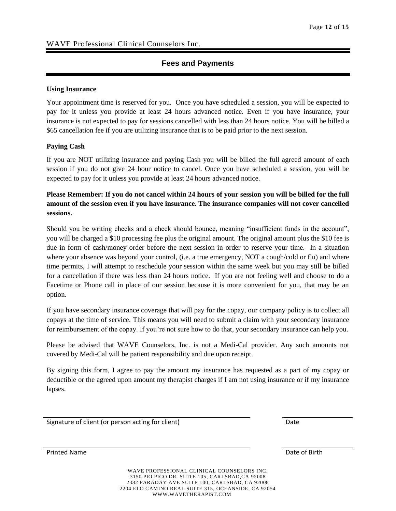# **Fees and Payments**

## **Using Insurance**

Your appointment time is reserved for you. Once you have scheduled a session, you will be expected to pay for it unless you provide at least 24 hours advanced notice. Even if you have insurance, your insurance is not expected to pay for sessions cancelled with less than 24 hours notice. You will be billed a \$65 cancellation fee if you are utilizing insurance that is to be paid prior to the next session.

# **Paying Cash**

If you are NOT utilizing insurance and paying Cash you will be billed the full agreed amount of each session if you do not give 24 hour notice to cancel. Once you have scheduled a session, you will be expected to pay for it unless you provide at least 24 hours advanced notice.

**Please Remember: If you do not cancel within 24 hours of your session you will be billed for the full amount of the session even if you have insurance. The insurance companies will not cover cancelled sessions.**

Should you be writing checks and a check should bounce, meaning "insufficient funds in the account", you will be charged a \$10 processing fee plus the original amount. The original amount plus the \$10 fee is due in form of cash/money order before the next session in order to reserve your time. In a situation where your absence was beyond your control, (i.e. a true emergency, NOT a cough/cold or flu) and where time permits, I will attempt to reschedule your session within the same week but you may still be billed for a cancellation if there was less than 24 hours notice. If you are not feeling well and choose to do a Facetime or Phone call in place of our session because it is more convenient for you, that may be an option.

If you have secondary insurance coverage that will pay for the copay, our company policy is to collect all copays at the time of service. This means you will need to submit a claim with your secondary insurance for reimbursement of the copay. If you're not sure how to do that, your secondary insurance can help you.

Please be advised that WAVE Counselors, Inc. is not a Medi-Cal provider. Any such amounts not covered by Medi-Cal will be patient responsibility and due upon receipt.

By signing this form, I agree to pay the amount my insurance has requested as a part of my copay or deductible or the agreed upon amount my therapist charges if I am not using insurance or if my insurance lapses.

Signature of client (or person acting for client) Date

Printed Name **Date of Birth** Printed Name **Date of Birth** 

WAVE PROFESSIONAL CLINICAL COUNSELORS INC. 3150 PIO PICO DR. SUITE 105, CARLSBAD,CA 92008 2382 FARADAY AVE SUITE 100, CARLSBAD, CA 92008 2204 ELO CAMINO REAL SUITE 315, OCEANSIDE, CA 92054 WWW.WAVETHERAPIST.COM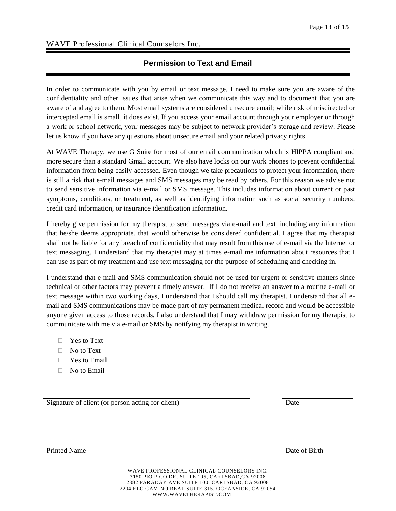WAVE Professional Clinical Counselors Inc.

# **Permission to Text and Email**

In order to communicate with you by email or text message, I need to make sure you are aware of the confidentiality and other issues that arise when we communicate this way and to document that you are aware of and agree to them. Most email systems are considered unsecure email; while risk of misdirected or intercepted email is small, it does exist. If you access your email account through your employer or through a work or school network, your messages may be subject to network provider's storage and review. Please let us know if you have any questions about unsecure email and your related privacy rights.

At WAVE Therapy, we use G Suite for most of our email communication which is HIPPA compliant and more secure than a standard Gmail account. We also have locks on our work phones to prevent confidential information from being easily accessed. Even though we take precautions to protect your information, there is still a risk that e-mail messages and SMS messages may be read by others. For this reason we advise not to send sensitive information via e-mail or SMS message. This includes information about current or past symptoms, conditions, or treatment, as well as identifying information such as social security numbers, credit card information, or insurance identification information.

I hereby give permission for my therapist to send messages via e-mail and text, including any information that he/she deems appropriate, that would otherwise be considered confidential. I agree that my therapist shall not be liable for any breach of confidentiality that may result from this use of e-mail via the Internet or text messaging. I understand that my therapist may at times e-mail me information about resources that I can use as part of my treatment and use text messaging for the purpose of scheduling and checking in.

I understand that e-mail and SMS communication should not be used for urgent or sensitive matters since technical or other factors may prevent a timely answer. If I do not receive an answer to a routine e-mail or text message within two working days, I understand that I should call my therapist. I understand that all email and SMS communications may be made part of my permanent medical record and would be accessible anyone given access to those records. I also understand that I may withdraw permission for my therapist to communicate with me via e-mail or SMS by notifying my therapist in writing.

- □ Yes to Text
- □ No to Text
- □ Yes to Email
- $\n **No**$  to Email

Signature of client (or person acting for client) Date

Printed Name Date of Birth

WAVE PROFESSIONAL CLINICAL COUNSELORS INC. 3150 PIO PICO DR. SUITE 105, CARLSBAD,CA 92008 2382 FARADAY AVE SUITE 100, CARLSBAD, CA 92008 2204 ELO CAMINO REAL SUITE 315, OCEANSIDE, CA 92054 WWW.WAVETHERAPIST.COM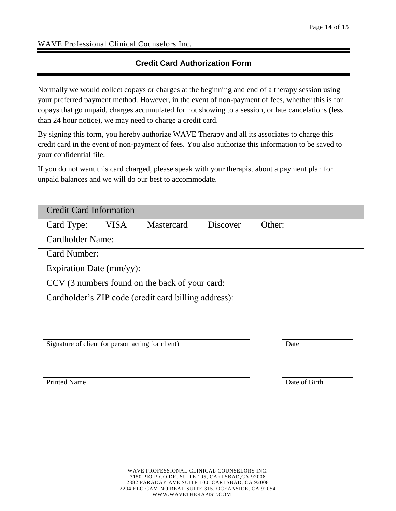WAVE Professional Clinical Counselors Inc.

# **Credit Card Authorization Form**

Normally we would collect copays or charges at the beginning and end of a therapy session using your preferred payment method. However, in the event of non-payment of fees, whether this is for copays that go unpaid, charges accumulated for not showing to a session, or late cancelations (less than 24 hour notice), we may need to charge a credit card.

By signing this form, you hereby authorize WAVE Therapy and all its associates to charge this credit card in the event of non-payment of fees. You also authorize this information to be saved to your confidential file.

If you do not want this card charged, please speak with your therapist about a payment plan for unpaid balances and we will do our best to accommodate.

| <b>Credit Card Information</b>                       |      |            |                 |        |  |  |  |
|------------------------------------------------------|------|------------|-----------------|--------|--|--|--|
| Card Type:                                           | VISA | Mastercard | <b>Discover</b> | Other: |  |  |  |
| Cardholder Name:                                     |      |            |                 |        |  |  |  |
| Card Number:                                         |      |            |                 |        |  |  |  |
| Expiration Date (mm/yy):                             |      |            |                 |        |  |  |  |
| CCV (3 numbers found on the back of your card:       |      |            |                 |        |  |  |  |
| Cardholder's ZIP code (credit card billing address): |      |            |                 |        |  |  |  |

Signature of client (or person acting for client) Date